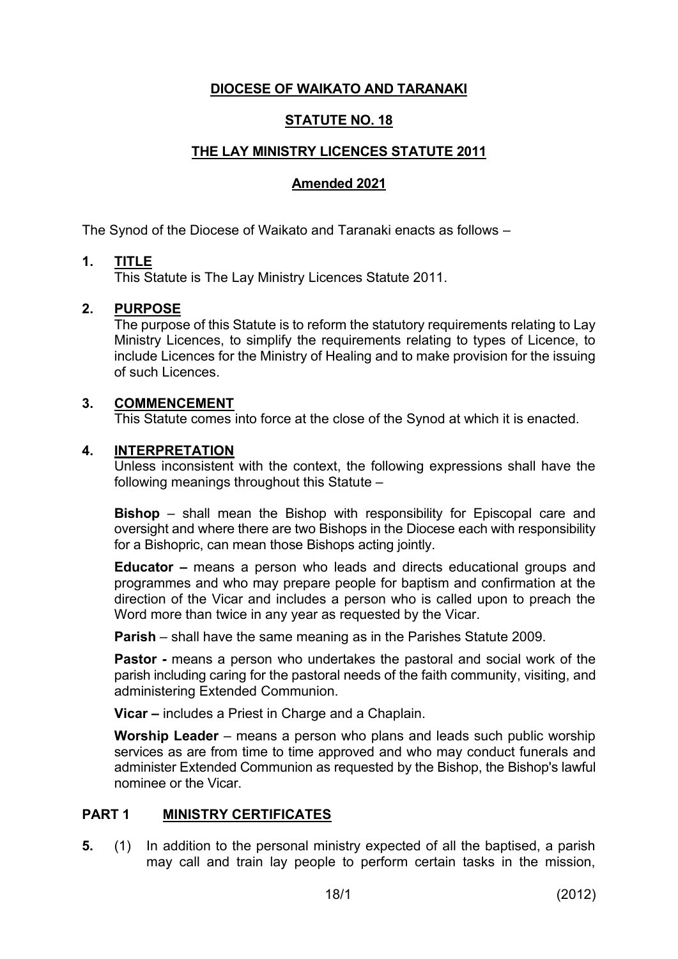# **DIOCESE OF WAIKATO AND TARANAKI**

# **STATUTE NO. 18**

## **THE LAY MINISTRY LICENCES STATUTE 2011**

## **Amended 2021**

The Synod of the Diocese of Waikato and Taranaki enacts as follows –

## **1. TITLE**

This Statute is The Lay Ministry Licences Statute 2011.

## **2. PURPOSE**

The purpose of this Statute is to reform the statutory requirements relating to Lay Ministry Licences, to simplify the requirements relating to types of Licence, to include Licences for the Ministry of Healing and to make provision for the issuing of such Licences.

### **3. COMMENCEMENT**

This Statute comes into force at the close of the Synod at which it is enacted.

### **4. INTERPRETATION**

Unless inconsistent with the context, the following expressions shall have the following meanings throughout this Statute –

**Bishop** – shall mean the Bishop with responsibility for Episcopal care and oversight and where there are two Bishops in the Diocese each with responsibility for a Bishopric, can mean those Bishops acting jointly.

**Educator –** means a person who leads and directs educational groups and programmes and who may prepare people for baptism and confirmation at the direction of the Vicar and includes a person who is called upon to preach the Word more than twice in any year as requested by the Vicar.

**Parish** – shall have the same meaning as in the Parishes Statute 2009.

**Pastor** *-* means a person who undertakes the pastoral and social work of the parish including caring for the pastoral needs of the faith community, visiting, and administering Extended Communion.

**Vicar –** includes a Priest in Charge and a Chaplain.

**Worship Leader** – means a person who plans and leads such public worship services as are from time to time approved and who may conduct funerals and administer Extended Communion as requested by the Bishop, the Bishop's lawful nominee or the Vicar.

## **PART 1 MINISTRY CERTIFICATES**

**5.** (1) In addition to the personal ministry expected of all the baptised, a parish may call and train lay people to perform certain tasks in the mission,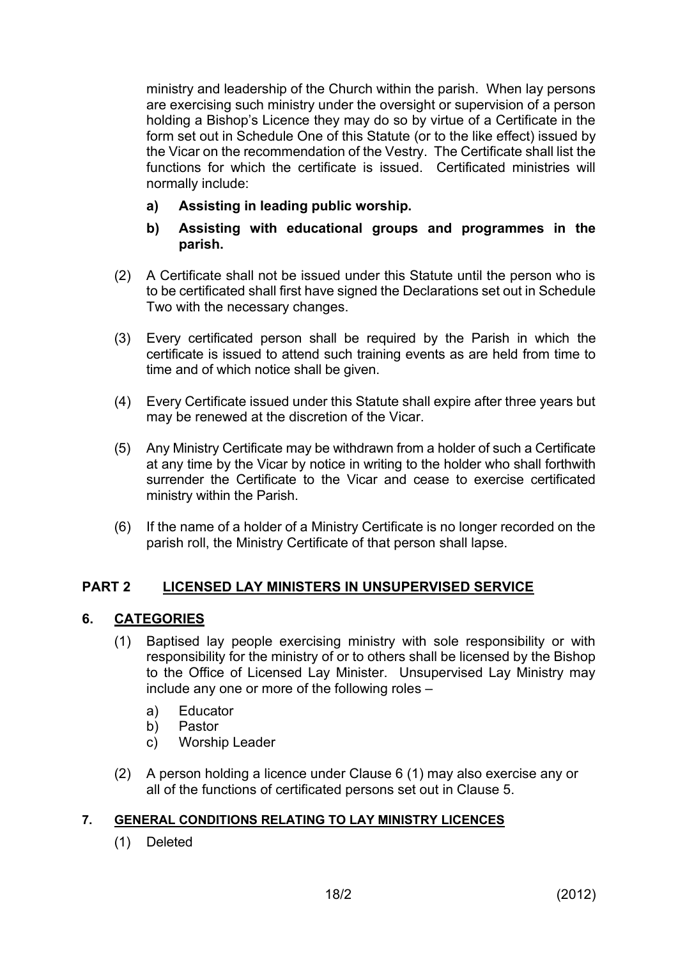ministry and leadership of the Church within the parish. When lay persons are exercising such ministry under the oversight or supervision of a person holding a Bishop's Licence they may do so by virtue of a Certificate in the form set out in Schedule One of this Statute (or to the like effect) issued by the Vicar on the recommendation of the Vestry. The Certificate shall list the functions for which the certificate is issued. Certificated ministries will normally include:

- **a) Assisting in leading public worship.**
- **b) Assisting with educational groups and programmes in the parish.**
- (2) A Certificate shall not be issued under this Statute until the person who is to be certificated shall first have signed the Declarations set out in Schedule Two with the necessary changes.
- (3) Every certificated person shall be required by the Parish in which the certificate is issued to attend such training events as are held from time to time and of which notice shall be given.
- (4) Every Certificate issued under this Statute shall expire after three years but may be renewed at the discretion of the Vicar.
- (5) Any Ministry Certificate may be withdrawn from a holder of such a Certificate at any time by the Vicar by notice in writing to the holder who shall forthwith surrender the Certificate to the Vicar and cease to exercise certificated ministry within the Parish.
- (6) If the name of a holder of a Ministry Certificate is no longer recorded on the parish roll, the Ministry Certificate of that person shall lapse.

# **PART 2 LICENSED LAY MINISTERS IN UNSUPERVISED SERVICE**

## **6. CATEGORIES**

- (1) Baptised lay people exercising ministry with sole responsibility or with responsibility for the ministry of or to others shall be licensed by the Bishop to the Office of Licensed Lay Minister. Unsupervised Lay Ministry may include any one or more of the following roles –
	- a) Educator
	- b) Pastor
	- c) Worship Leader
- (2) A person holding a licence under Clause 6 (1) may also exercise any or all of the functions of certificated persons set out in Clause 5.

## **7. GENERAL CONDITIONS RELATING TO LAY MINISTRY LICENCES**

(1) Deleted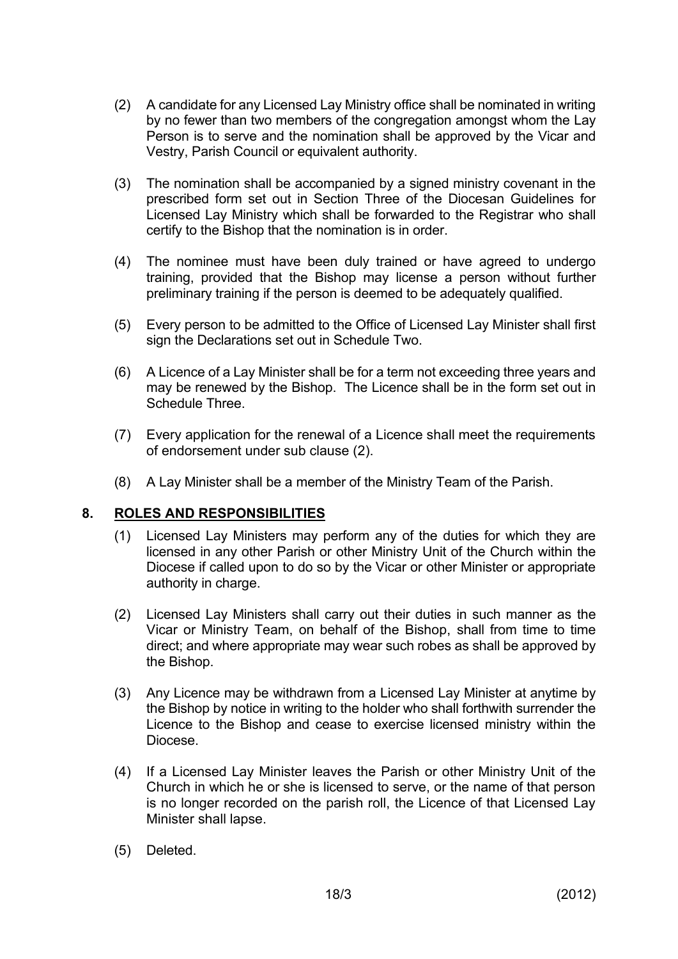- (2) A candidate for any Licensed Lay Ministry office shall be nominated in writing by no fewer than two members of the congregation amongst whom the Lay Person is to serve and the nomination shall be approved by the Vicar and Vestry, Parish Council or equivalent authority.
- (3) The nomination shall be accompanied by a signed ministry covenant in the prescribed form set out in Section Three of the Diocesan Guidelines for Licensed Lay Ministry which shall be forwarded to the Registrar who shall certify to the Bishop that the nomination is in order.
- (4) The nominee must have been duly trained or have agreed to undergo training, provided that the Bishop may license a person without further preliminary training if the person is deemed to be adequately qualified.
- (5) Every person to be admitted to the Office of Licensed Lay Minister shall first sign the Declarations set out in Schedule Two.
- (6) A Licence of a Lay Minister shall be for a term not exceeding three years and may be renewed by the Bishop. The Licence shall be in the form set out in Schedule Three.
- (7) Every application for the renewal of a Licence shall meet the requirements of endorsement under sub clause (2).
- (8) A Lay Minister shall be a member of the Ministry Team of the Parish.

## **8. ROLES AND RESPONSIBILITIES**

- (1) Licensed Lay Ministers may perform any of the duties for which they are licensed in any other Parish or other Ministry Unit of the Church within the Diocese if called upon to do so by the Vicar or other Minister or appropriate authority in charge.
- (2) Licensed Lay Ministers shall carry out their duties in such manner as the Vicar or Ministry Team, on behalf of the Bishop, shall from time to time direct; and where appropriate may wear such robes as shall be approved by the Bishop.
- (3) Any Licence may be withdrawn from a Licensed Lay Minister at anytime by the Bishop by notice in writing to the holder who shall forthwith surrender the Licence to the Bishop and cease to exercise licensed ministry within the Diocese.
- (4) If a Licensed Lay Minister leaves the Parish or other Ministry Unit of the Church in which he or she is licensed to serve, or the name of that person is no longer recorded on the parish roll, the Licence of that Licensed Lay Minister shall lapse.
- (5) Deleted.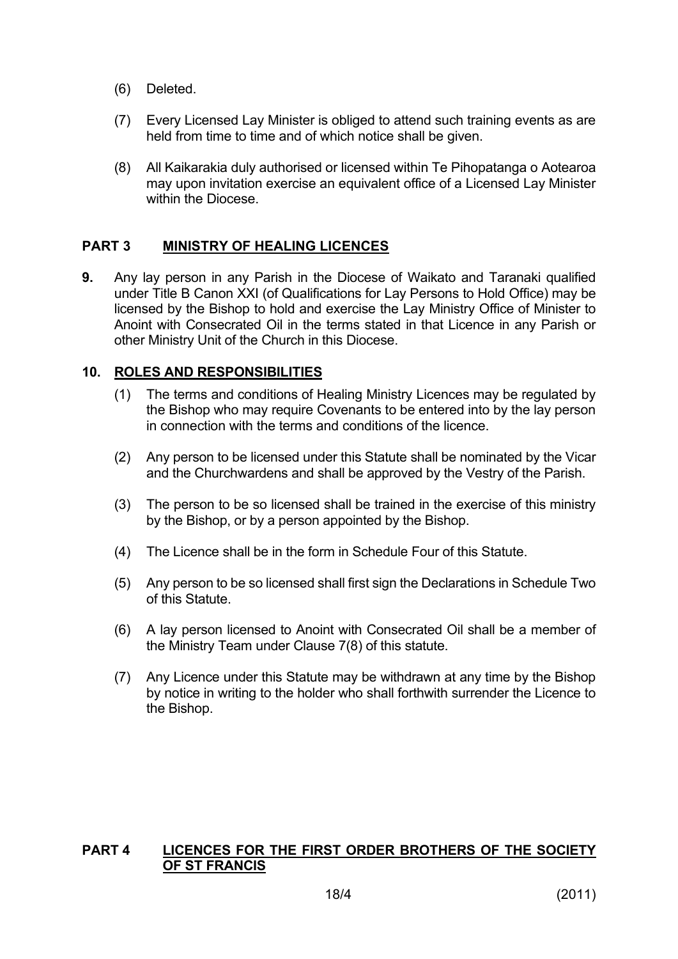- (6) Deleted.
- (7) Every Licensed Lay Minister is obliged to attend such training events as are held from time to time and of which notice shall be given.
- (8) All Kaikarakia duly authorised or licensed within Te Pihopatanga o Aotearoa may upon invitation exercise an equivalent office of a Licensed Lay Minister within the Diocese

## **PART 3 MINISTRY OF HEALING LICENCES**

**9.** Any lay person in any Parish in the Diocese of Waikato and Taranaki qualified under Title B Canon XXI (of Qualifications for Lay Persons to Hold Office) may be licensed by the Bishop to hold and exercise the Lay Ministry Office of Minister to Anoint with Consecrated Oil in the terms stated in that Licence in any Parish or other Ministry Unit of the Church in this Diocese.

## **10. ROLES AND RESPONSIBILITIES**

- (1) The terms and conditions of Healing Ministry Licences may be regulated by the Bishop who may require Covenants to be entered into by the lay person in connection with the terms and conditions of the licence.
- (2) Any person to be licensed under this Statute shall be nominated by the Vicar and the Churchwardens and shall be approved by the Vestry of the Parish.
- (3) The person to be so licensed shall be trained in the exercise of this ministry by the Bishop, or by a person appointed by the Bishop.
- (4) The Licence shall be in the form in Schedule Four of this Statute.
- (5) Any person to be so licensed shall first sign the Declarations in Schedule Two of this Statute.
- (6) A lay person licensed to Anoint with Consecrated Oil shall be a member of the Ministry Team under Clause 7(8) of this statute.
- (7) Any Licence under this Statute may be withdrawn at any time by the Bishop by notice in writing to the holder who shall forthwith surrender the Licence to the Bishop.

## **PART 4 LICENCES FOR THE FIRST ORDER BROTHERS OF THE SOCIETY OF ST FRANCIS**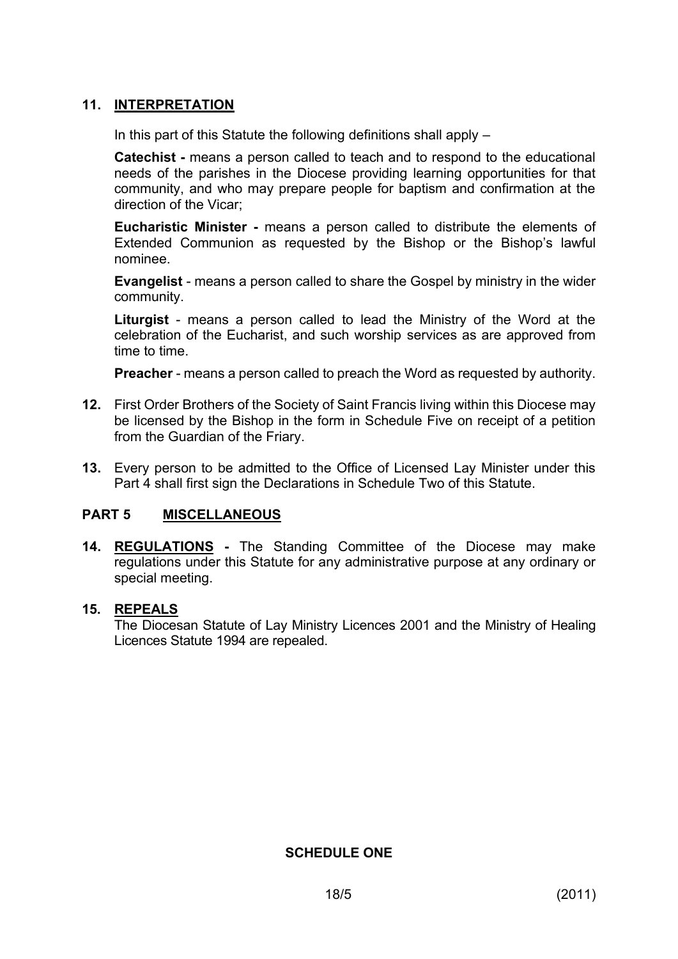# **11. INTERPRETATION**

In this part of this Statute the following definitions shall apply  $-$ 

**Catechist -** means a person called to teach and to respond to the educational needs of the parishes in the Diocese providing learning opportunities for that community, and who may prepare people for baptism and confirmation at the direction of the Vicar;

**Eucharistic Minister -** means a person called to distribute the elements of Extended Communion as requested by the Bishop or the Bishop's lawful nominee.

**Evangelist** - means a person called to share the Gospel by ministry in the wider community.

**Liturgist** - means a person called to lead the Ministry of the Word at the celebration of the Eucharist, and such worship services as are approved from time to time.

**Preacher** - means a person called to preach the Word as requested by authority.

- **12.** First Order Brothers of the Society of Saint Francis living within this Diocese may be licensed by the Bishop in the form in Schedule Five on receipt of a petition from the Guardian of the Friary.
- **13.** Every person to be admitted to the Office of Licensed Lay Minister under this Part 4 shall first sign the Declarations in Schedule Two of this Statute.

## **PART 5 MISCELLANEOUS**

**14. REGULATIONS -** The Standing Committee of the Diocese may make regulations under this Statute for any administrative purpose at any ordinary or special meeting.

## **15. REPEALS**

The Diocesan Statute of Lay Ministry Licences 2001 and the Ministry of Healing Licences Statute 1994 are repealed.

**SCHEDULE ONE**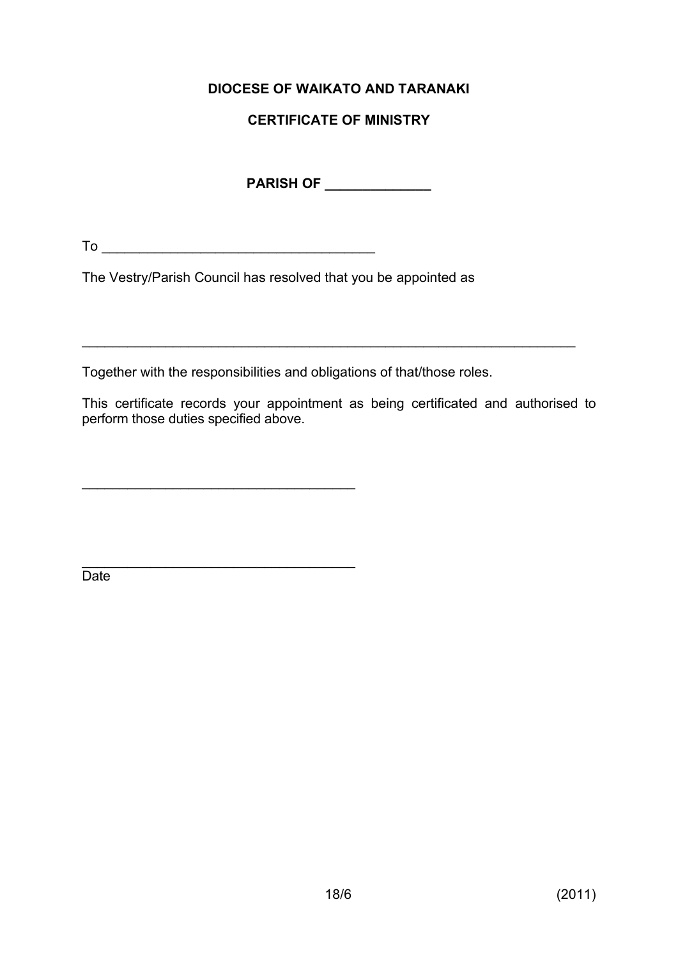# **DIOCESE OF WAIKATO AND TARANAKI**

# **CERTIFICATE OF MINISTRY**

**PARISH OF \_\_\_\_\_\_\_\_\_\_\_\_\_\_**

 $To \_\_$ 

\_\_\_\_\_\_\_\_\_\_\_\_\_\_\_\_\_\_\_\_\_\_\_\_\_\_\_\_\_\_\_\_\_\_\_\_

The Vestry/Parish Council has resolved that you be appointed as

Together with the responsibilities and obligations of that/those roles.

This certificate records your appointment as being certificated and authorised to perform those duties specified above.

\_\_\_\_\_\_\_\_\_\_\_\_\_\_\_\_\_\_\_\_\_\_\_\_\_\_\_\_\_\_\_\_\_\_\_\_\_\_\_\_\_\_\_\_\_\_\_\_\_\_\_\_\_\_\_\_\_\_\_\_\_\_\_\_\_

\_\_\_\_\_\_\_\_\_\_\_\_\_\_\_\_\_\_\_\_\_\_\_\_\_\_\_\_\_\_\_\_\_\_\_\_ **Date**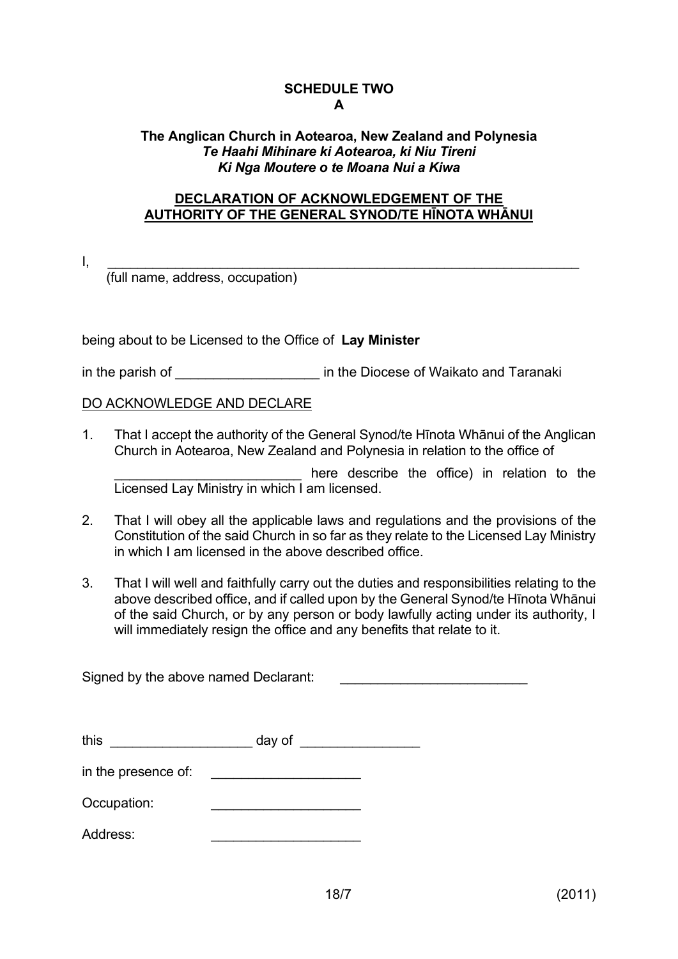## **SCHEDULE TWO A**

## **The Anglican Church in Aotearoa, New Zealand and Polynesia** *Te Haahi Mihinare ki Aotearoa, ki Niu Tireni Ki Nga Moutere o te Moana Nui a Kiwa*

### **DECLARATION OF ACKNOWLEDGEMENT OF THE AUTHORITY OF THE GENERAL SYNOD/TE HĪNOTA WHĀNUI**

 $\mathsf{I}, \quad \_\_$ 

(full name, address, occupation)

being about to be Licensed to the Office of **Lay Minister**

in the parish of **Exercise** in the Diocese of Waikato and Taranaki

## DO ACKNOWLEDGE AND DECLARE

1. That I accept the authority of the General Synod/te Hīnota Whānui of the Anglican Church in Aotearoa, New Zealand and Polynesia in relation to the office of

here describe the office) in relation to the Licensed Lay Ministry in which I am licensed.

- 2. That I will obey all the applicable laws and regulations and the provisions of the Constitution of the said Church in so far as they relate to the Licensed Lay Ministry in which I am licensed in the above described office.
- 3. That I will well and faithfully carry out the duties and responsibilities relating to the above described office, and if called upon by the General Synod/te Hīnota Whānui of the said Church, or by any person or body lawfully acting under its authority, I will immediately resign the office and any benefits that relate to it.

Signed by the above named Declarant:

| this                | day of |  |
|---------------------|--------|--|
| in the presence of: |        |  |
| Occupation:         |        |  |

Address: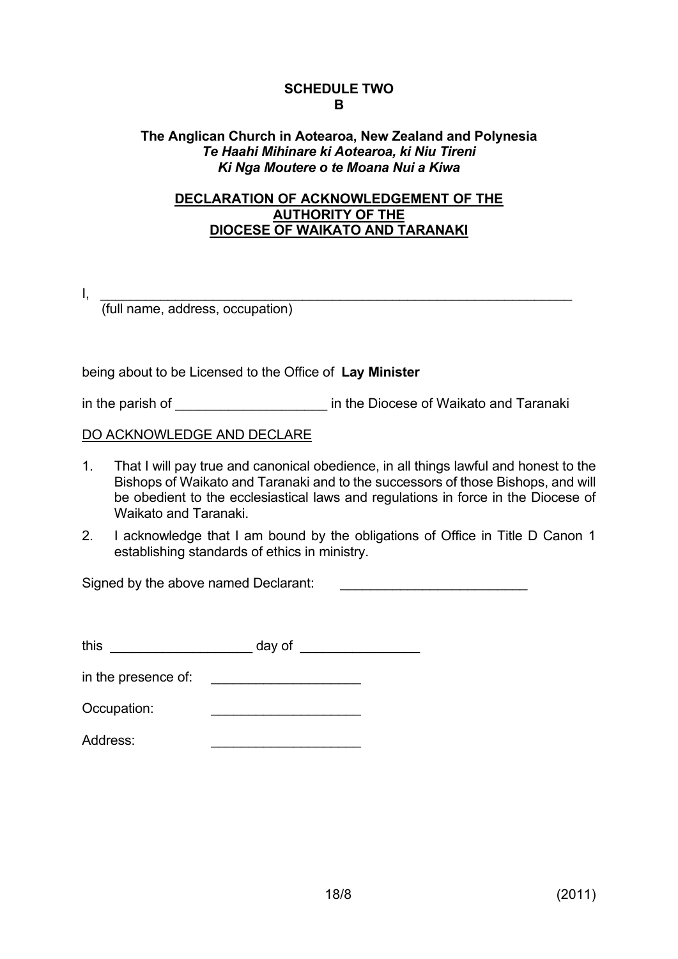### **SCHEDULE TWO B**

## **The Anglican Church in Aotearoa, New Zealand and Polynesia** *Te Haahi Mihinare ki Aotearoa, ki Niu Tireni Ki Nga Moutere o te Moana Nui a Kiwa*

## **DECLARATION OF ACKNOWLEDGEMENT OF THE AUTHORITY OF THE DIOCESE OF WAIKATO AND TARANAKI**

 $\mathsf{I}, \quad \rule{0.2cm}{0.2cm}$ 

(full name, address, occupation)

being about to be Licensed to the Office of **Lay Minister**

in the parish of **Exercise** in the Diocese of Waikato and Taranaki

DO ACKNOWLEDGE AND DECLARE

- 1. That I will pay true and canonical obedience, in all things lawful and honest to the Bishops of Waikato and Taranaki and to the successors of those Bishops, and will be obedient to the ecclesiastical laws and regulations in force in the Diocese of Waikato and Taranaki.
- 2. I acknowledge that I am bound by the obligations of Office in Title D Canon 1 establishing standards of ethics in ministry.

Signed by the above named Declarant:

| this                | day of |  |
|---------------------|--------|--|
| in the presence of: |        |  |
| Occupation:         |        |  |
| Address:            |        |  |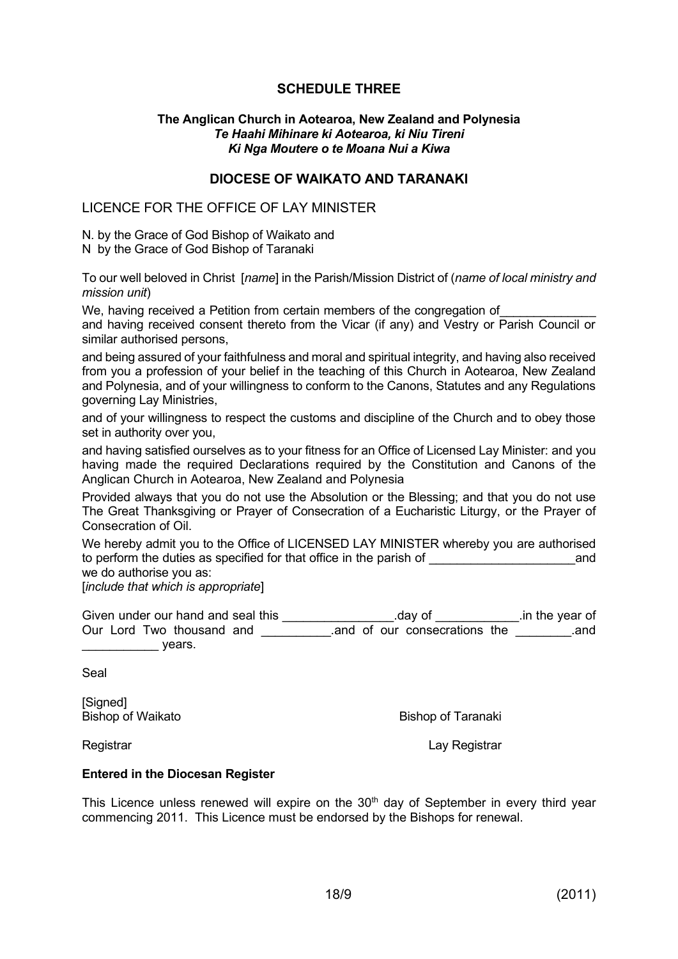## **SCHEDULE THREE**

#### **The Anglican Church in Aotearoa, New Zealand and Polynesia** *Te Haahi Mihinare ki Aotearoa, ki Niu Tireni Ki Nga Moutere o te Moana Nui a Kiwa*

### **DIOCESE OF WAIKATO AND TARANAKI**

#### LICENCE FOR THE OFFICE OF LAY MINISTER

N. by the Grace of God Bishop of Waikato and

N by the Grace of God Bishop of Taranaki

To our well beloved in Christ [*name*] in the Parish/Mission District of (*name of local ministry and mission unit*)

We, having received a Petition from certain members of the congregation of and having received consent thereto from the Vicar (if any) and Vestry or Parish Council or similar authorised persons,

and being assured of your faithfulness and moral and spiritual integrity, and having also received from you a profession of your belief in the teaching of this Church in Aotearoa, New Zealand and Polynesia, and of your willingness to conform to the Canons, Statutes and any Regulations governing Lay Ministries,

and of your willingness to respect the customs and discipline of the Church and to obey those set in authority over you,

and having satisfied ourselves as to your fitness for an Office of Licensed Lay Minister: and you having made the required Declarations required by the Constitution and Canons of the Anglican Church in Aotearoa, New Zealand and Polynesia

Provided always that you do not use the Absolution or the Blessing; and that you do not use The Great Thanksgiving or Prayer of Consecration of a Eucharistic Liturgy, or the Prayer of Consecration of Oil.

We hereby admit you to the Office of LICENSED LAY MINISTER whereby you are authorised to perform the duties as specified for that office in the parish of  $\qquad \qquad$  and we do authorise you as:

[*include that which is appropriate*]

| Given under our hand and seal this | .dav of                      | .in the year of |
|------------------------------------|------------------------------|-----------------|
| Our Lord Two thousand and          | and of our consecrations the | and             |
| vears.                             |                              |                 |

Seal

[Signed]

Bishop of Waikato **Bishop of Taranaki** 

Registrar **Lay Registrar** Registrar **Lay Registrar** 

#### **Entered in the Diocesan Register**

This Licence unless renewed will expire on the  $30<sup>th</sup>$  day of September in every third year commencing 2011. This Licence must be endorsed by the Bishops for renewal.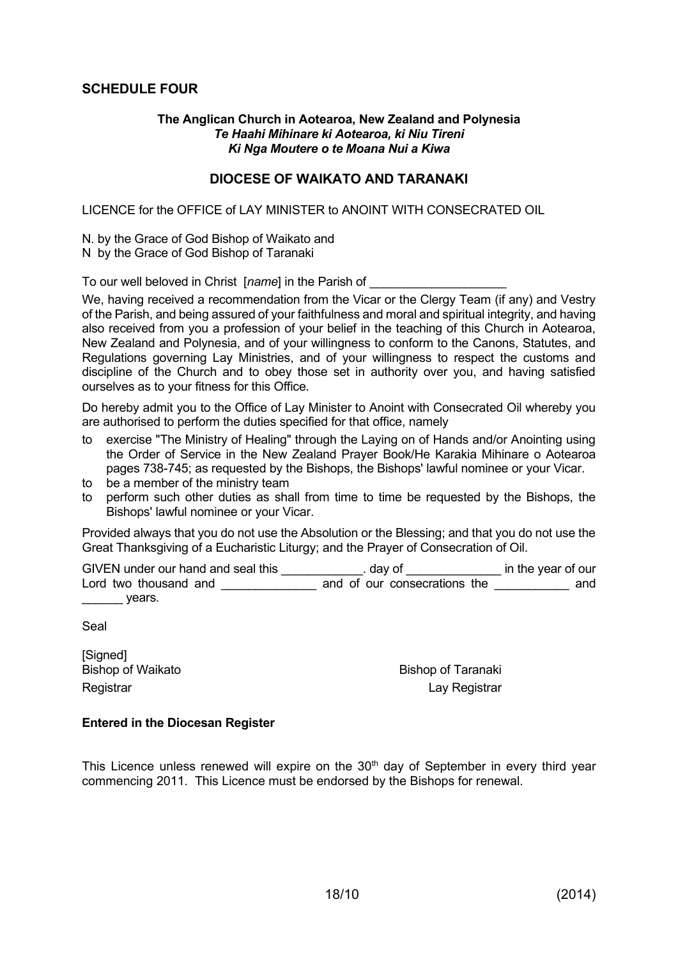### **SCHEDULE FOUR**

#### **The Anglican Church in Aotearoa, New Zealand and Polynesia** *Te Haahi Mihinare ki Aotearoa, ki Niu Tireni Ki Nga Moutere o te Moana Nui a Kiwa*

#### **DIOCESE OF WAIKATO AND TARANAKI**

LICENCE for the OFFICE of LAY MINISTER to ANOINT WITH CONSECRATED OIL

N. by the Grace of God Bishop of Waikato and N by the Grace of God Bishop of Taranaki

To our well beloved in Christ [*name*] in the Parish of

We, having received a recommendation from the Vicar or the Clergy Team (if any) and Vestry of the Parish, and being assured of your faithfulness and moral and spiritual integrity, and having also received from you a profession of your belief in the teaching of this Church in Aotearoa, New Zealand and Polynesia, and of your willingness to conform to the Canons, Statutes, and Regulations governing Lay Ministries, and of your willingness to respect the customs and discipline of the Church and to obey those set in authority over you, and having satisfied ourselves as to your fitness for this Office.

Do hereby admit you to the Office of Lay Minister to Anoint with Consecrated Oil whereby you are authorised to perform the duties specified for that office, namely

- to exercise "The Ministry of Healing" through the Laying on of Hands and/or Anointing using the Order of Service in the New Zealand Prayer Book/He Karakia Mihinare o Aotearoa pages 738-745; as requested by the Bishops, the Bishops' lawful nominee or your Vicar.
- to be a member of the ministry team
- to perform such other duties as shall from time to time be requested by the Bishops, the Bishops' lawful nominee or your Vicar.

Provided always that you do not use the Absolution or the Blessing; and that you do not use the Great Thanksgiving of a Eucharistic Liturgy; and the Prayer of Consecration of Oil.

GIVEN under our hand and seal this \_\_\_\_\_\_\_\_\_\_\_\_\_\_\_\_\_\_\_\_\_\_\_ day of \_\_\_\_\_\_\_\_\_\_\_\_\_\_\_\_\_\_\_\_ in the year of our Lord two thousand and **EXECUTE 10** and of our consecrations the **EXECUTE 10** and  $\rule{1em}{0.15mm}$  years.

Seal

[Signed] Bishop of Waikato **Bishop of Taranaki** 

Registrar Lay Registrar

#### **Entered in the Diocesan Register**

This Licence unless renewed will expire on the  $30<sup>th</sup>$  day of September in every third year commencing 2011. This Licence must be endorsed by the Bishops for renewal.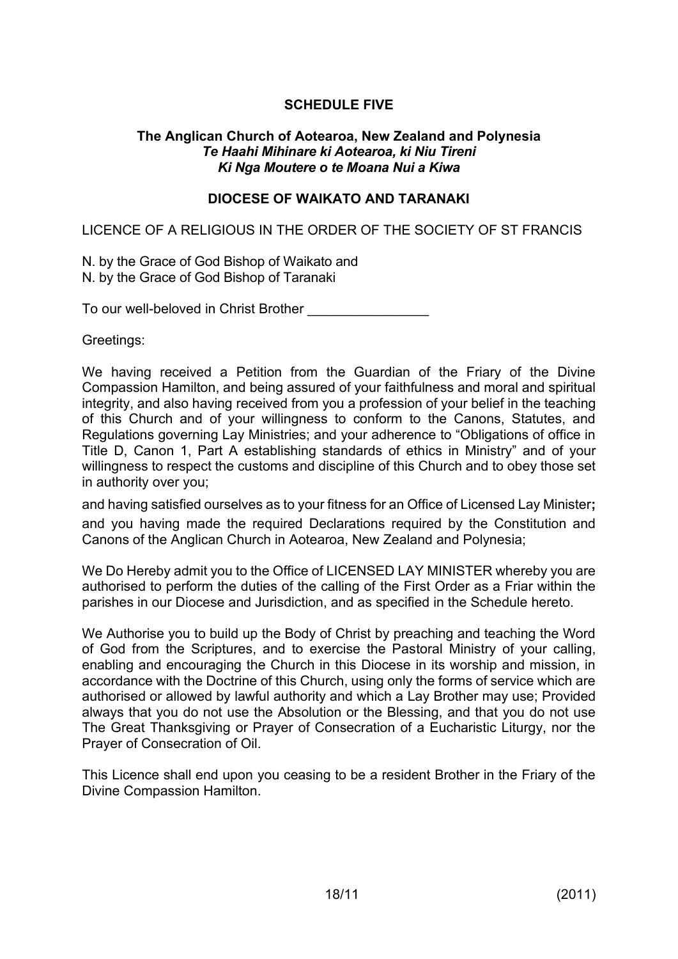# **SCHEDULE FIVE**

### **The Anglican Church of Aotearoa, New Zealand and Polynesia** *Te Haahi Mihinare ki Aotearoa, ki Niu Tireni Ki Nga Moutere o te Moana Nui a Kiwa*

## **DIOCESE OF WAIKATO AND TARANAKI**

LICENCE OF A RELIGIOUS IN THE ORDER OF THE SOCIETY OF ST FRANCIS

N. by the Grace of God Bishop of Waikato and N. by the Grace of God Bishop of Taranaki

To our well-beloved in Christ Brother

Greetings:

We having received a Petition from the Guardian of the Friary of the Divine Compassion Hamilton, and being assured of your faithfulness and moral and spiritual integrity, and also having received from you a profession of your belief in the teaching of this Church and of your willingness to conform to the Canons, Statutes, and Regulations governing Lay Ministries; and your adherence to "Obligations of office in Title D, Canon 1, Part A establishing standards of ethics in Ministry" and of your willingness to respect the customs and discipline of this Church and to obey those set in authority over you;

and having satisfied ourselves as to your fitness for an Office of Licensed Lay Minister**;**  and you having made the required Declarations required by the Constitution and Canons of the Anglican Church in Aotearoa, New Zealand and Polynesia;

We Do Hereby admit you to the Office of LICENSED LAY MINISTER whereby you are authorised to perform the duties of the calling of the First Order as a Friar within the parishes in our Diocese and Jurisdiction, and as specified in the Schedule hereto.

We Authorise you to build up the Body of Christ by preaching and teaching the Word of God from the Scriptures, and to exercise the Pastoral Ministry of your calling, enabling and encouraging the Church in this Diocese in its worship and mission, in accordance with the Doctrine of this Church, using only the forms of service which are authorised or allowed by lawful authority and which a Lay Brother may use; Provided always that you do not use the Absolution or the Blessing, and that you do not use The Great Thanksgiving or Prayer of Consecration of a Eucharistic Liturgy, nor the Prayer of Consecration of Oil.

This Licence shall end upon you ceasing to be a resident Brother in the Friary of the Divine Compassion Hamilton.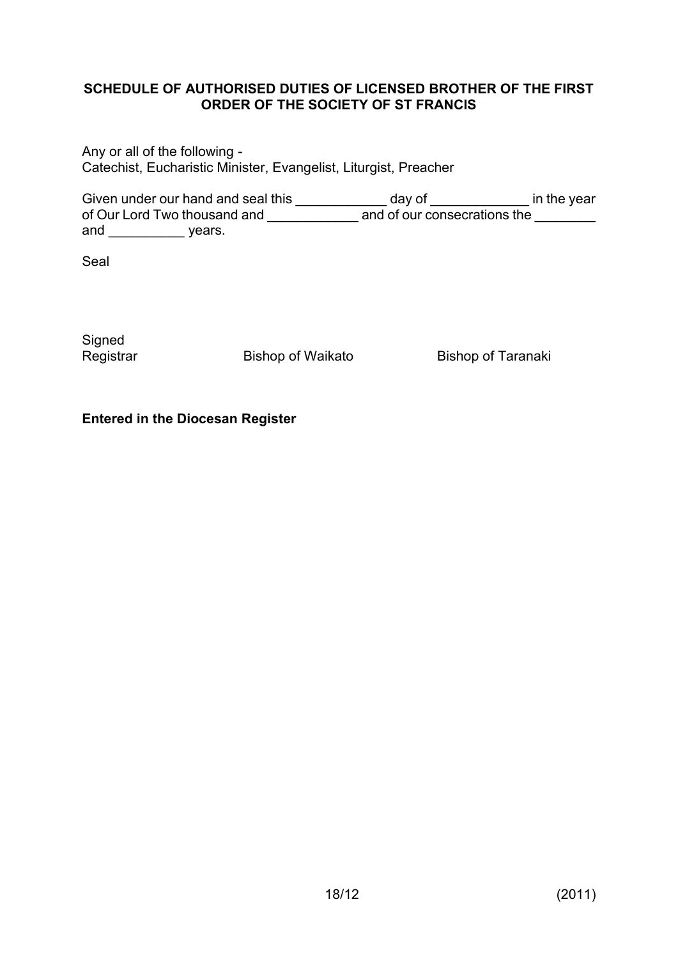## **SCHEDULE OF AUTHORISED DUTIES OF LICENSED BROTHER OF THE FIRST ORDER OF THE SOCIETY OF ST FRANCIS**

Any or all of the following - Catechist, Eucharistic Minister, Evangelist, Liturgist, Preacher

Given under our hand and seal this \_\_\_\_\_\_\_\_\_\_\_\_\_\_ day of \_\_\_\_\_\_\_\_\_\_\_\_\_\_\_\_ in the year of Our Lord Two thousand and \_\_\_\_\_\_\_\_\_\_\_\_\_\_ and of our consecrations the \_\_\_\_\_\_\_\_ and years.

Seal

**Signed** 

Registrar Bishop of Waikato Bishop of Taranaki

## **Entered in the Diocesan Register**